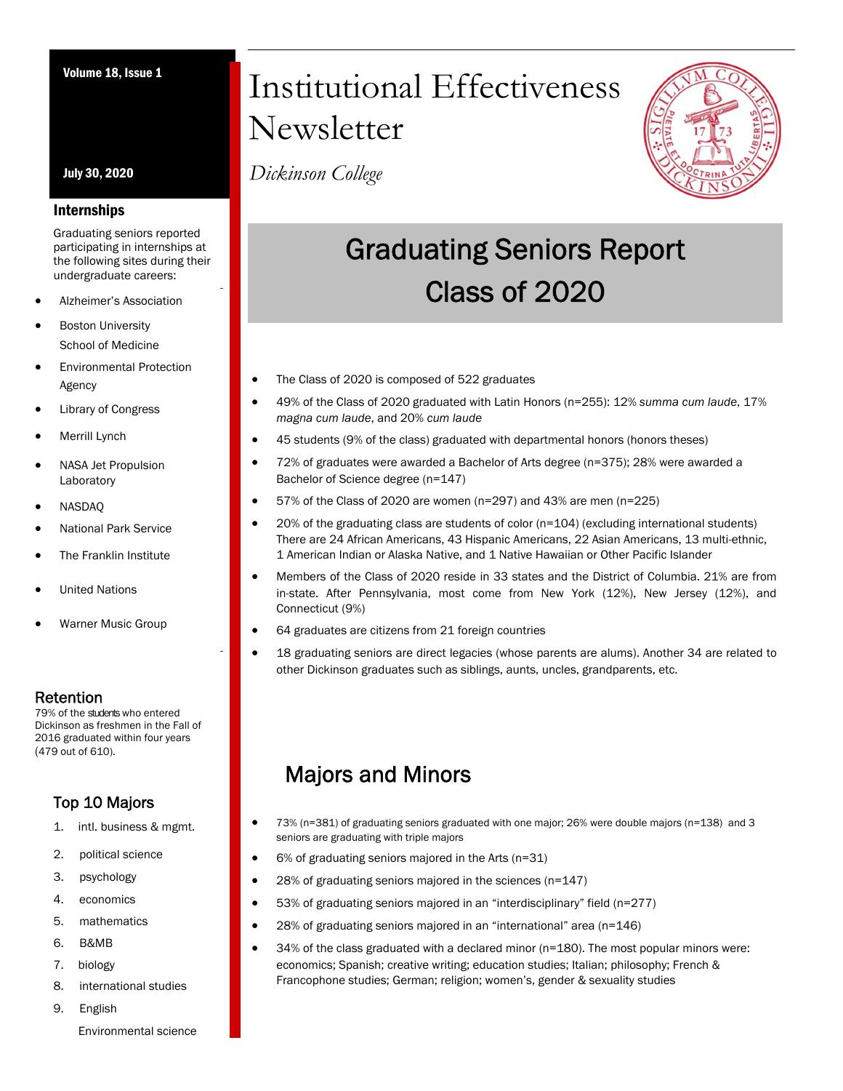July 30, 2020

### Internships

Graduating seniors reported participating in internships at the following sites during their undergraduate careers:

- Alzheimer's Association
- Boston University School of Medicine
- Environmental Protection Agency
- Library of Congress
- Merrill Lynch
- NASA Jet Propulsion Laboratory
- NASDAQ
- National Park Service
- The Franklin Institute
- United Nations
- Warner Music Group

**Retention**<br>79% of the students who entered Dickinson as freshmen in the Fall of 2016 graduated within four years (479 out of 610).

## Top 10 Majors

- 1. intl. business & mgmt.
- 2. political science
- 3. psychology
- 4. economics
- 5. mathematics
- 6. B&MB
- 7. biology
- 8. international studies
- 9. English

### Environmental science

# Volume 18, Issue 1 Institutional Effectiveness Newsletter

*Dickinson College*



# Graduating Seniors Report Class of 2020

- The Class of 2020 is composed of 522 graduates
- 49% of the Class of 2020 graduated with Latin Honors (n=255): 12% *summa cum laude*, 17% *magna cum laude*, and 20% *cum laude*
- 45 students (9% of the class) graduated with departmental honors (honors theses)
- 72% of graduates were awarded a Bachelor of Arts degree (n=375); 28% were awarded a Bachelor of Science degree (n=147)
- 57% of the Class of 2020 are women (n=297) and 43% are men (n=225)
- 20% of the graduating class are students of color (n=104) (excluding international students) There are 24 African Americans, 43 Hispanic Americans, 22 Asian Americans, 13 multi-ethnic, 1 American Indian or Alaska Native, and 1 Native Hawaiian or Other Pacific Islander
- Members of the Class of 2020 reside in 33 states and the District of Columbia. 21% are from in-state. After Pennsylvania, most come from New York (12%), New Jersey (12%), and Connecticut (9%)
- 64 graduates are citizens from 21 foreign countries
- 18 graduating seniors are direct legacies (whose parents are alums). Another 34 are related to other Dickinson graduates such as siblings, aunts, uncles, grandparents, etc.

# Majors and Minors

- 73% (n=381) of graduating seniors graduated with one major; 26% were double majors (n=138) and 3 seniors are graduating with triple majors
	- 6% of graduating seniors majored in the Arts (n=31)
- 28% of graduating seniors majored in the sciences (n=147)
- 53% of graduating seniors majored in an "interdisciplinary" field (n=277)
- 28% of graduating seniors majored in an "international" area (n=146)
- 34% of the class graduated with a declared minor (n=180). The most popular minors were: economics; Spanish; creative writing; education studies; Italian; philosophy; French & Francophone studies; German; religion; women's, gender & sexuality studies